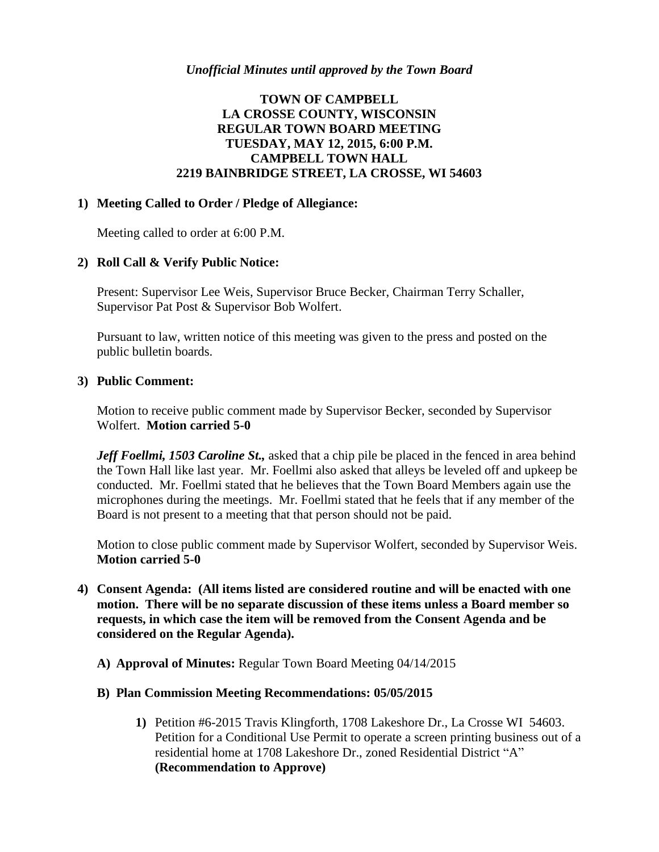# **TOWN OF CAMPBELL LA CROSSE COUNTY, WISCONSIN REGULAR TOWN BOARD MEETING TUESDAY, MAY 12, 2015, 6:00 P.M. CAMPBELL TOWN HALL 2219 BAINBRIDGE STREET, LA CROSSE, WI 54603**

## **1) Meeting Called to Order / Pledge of Allegiance:**

Meeting called to order at 6:00 P.M.

## **2) Roll Call & Verify Public Notice:**

Present: Supervisor Lee Weis, Supervisor Bruce Becker, Chairman Terry Schaller, Supervisor Pat Post & Supervisor Bob Wolfert.

Pursuant to law, written notice of this meeting was given to the press and posted on the public bulletin boards.

## **3) Public Comment:**

Motion to receive public comment made by Supervisor Becker, seconded by Supervisor Wolfert. **Motion carried 5-0**

Jeff Foellmi, 1503 Caroline St., asked that a chip pile be placed in the fenced in area behind the Town Hall like last year. Mr. Foellmi also asked that alleys be leveled off and upkeep be conducted. Mr. Foellmi stated that he believes that the Town Board Members again use the microphones during the meetings. Mr. Foellmi stated that he feels that if any member of the Board is not present to a meeting that that person should not be paid.

Motion to close public comment made by Supervisor Wolfert, seconded by Supervisor Weis. **Motion carried 5-0**

- **4) Consent Agenda: (All items listed are considered routine and will be enacted with one motion. There will be no separate discussion of these items unless a Board member so requests, in which case the item will be removed from the Consent Agenda and be considered on the Regular Agenda).**
	- **A) Approval of Minutes:** Regular Town Board Meeting 04/14/2015
	- **B) Plan Commission Meeting Recommendations: 05/05/2015**
		- **1)** Petition #6-2015 Travis Klingforth, 1708 Lakeshore Dr., La Crosse WI 54603. Petition for a Conditional Use Permit to operate a screen printing business out of a residential home at 1708 Lakeshore Dr., zoned Residential District "A" **(Recommendation to Approve)**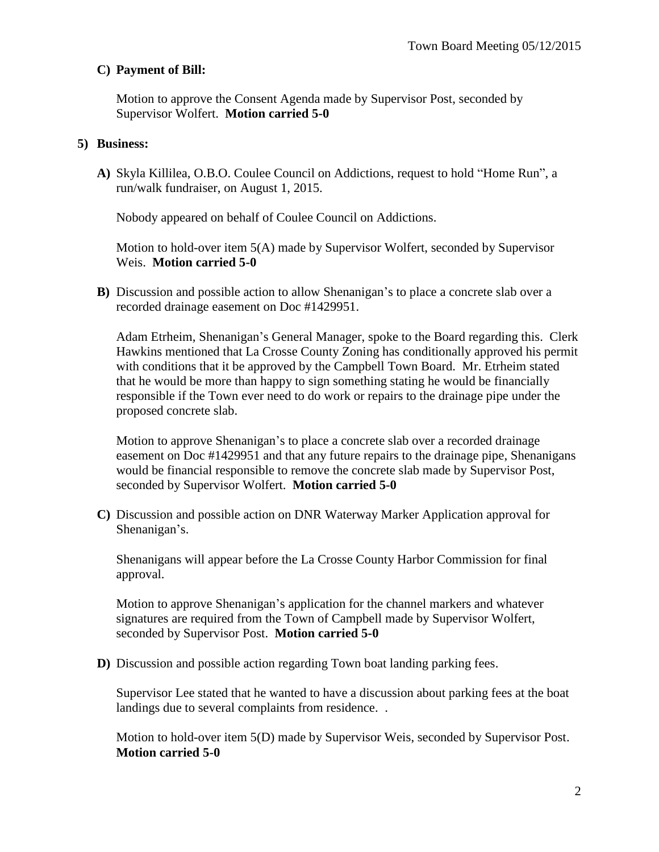## **C) Payment of Bill:**

Motion to approve the Consent Agenda made by Supervisor Post, seconded by Supervisor Wolfert. **Motion carried 5-0**

### **5) Business:**

**A)** Skyla Killilea, O.B.O. Coulee Council on Addictions, request to hold "Home Run", a run/walk fundraiser, on August 1, 2015.

Nobody appeared on behalf of Coulee Council on Addictions.

Motion to hold-over item 5(A) made by Supervisor Wolfert, seconded by Supervisor Weis. **Motion carried 5-0**

**B)** Discussion and possible action to allow Shenanigan's to place a concrete slab over a recorded drainage easement on Doc #1429951.

Adam Etrheim, Shenanigan's General Manager, spoke to the Board regarding this. Clerk Hawkins mentioned that La Crosse County Zoning has conditionally approved his permit with conditions that it be approved by the Campbell Town Board. Mr. Etrheim stated that he would be more than happy to sign something stating he would be financially responsible if the Town ever need to do work or repairs to the drainage pipe under the proposed concrete slab.

Motion to approve Shenanigan's to place a concrete slab over a recorded drainage easement on Doc #1429951 and that any future repairs to the drainage pipe, Shenanigans would be financial responsible to remove the concrete slab made by Supervisor Post, seconded by Supervisor Wolfert. **Motion carried 5-0**

**C)** Discussion and possible action on DNR Waterway Marker Application approval for Shenanigan's.

Shenanigans will appear before the La Crosse County Harbor Commission for final approval.

Motion to approve Shenanigan's application for the channel markers and whatever signatures are required from the Town of Campbell made by Supervisor Wolfert, seconded by Supervisor Post. **Motion carried 5-0**

**D)** Discussion and possible action regarding Town boat landing parking fees.

Supervisor Lee stated that he wanted to have a discussion about parking fees at the boat landings due to several complaints from residence. .

Motion to hold-over item 5(D) made by Supervisor Weis, seconded by Supervisor Post. **Motion carried 5-0**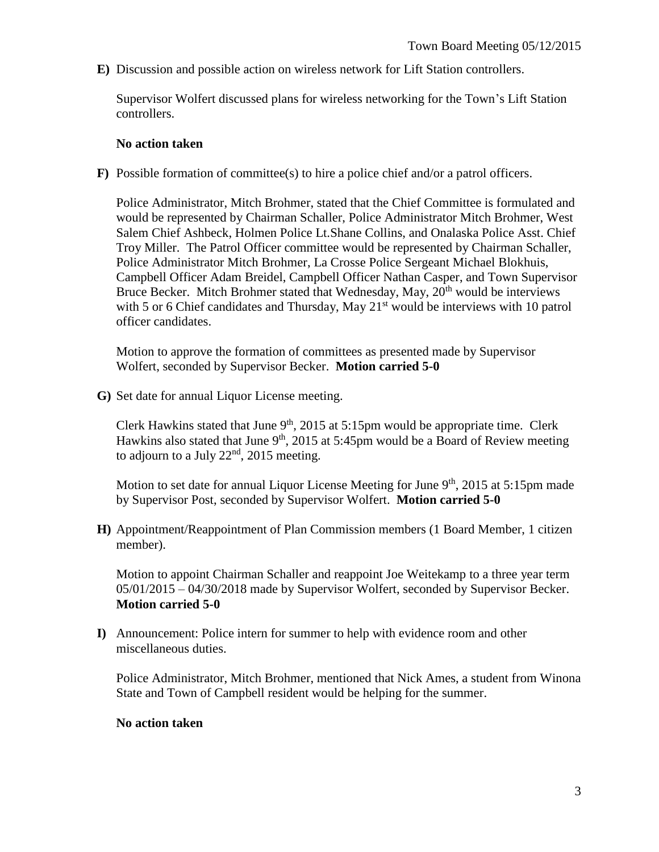**E)** Discussion and possible action on wireless network for Lift Station controllers.

Supervisor Wolfert discussed plans for wireless networking for the Town's Lift Station controllers.

#### **No action taken**

**F)** Possible formation of committee(s) to hire a police chief and/or a patrol officers.

Police Administrator, Mitch Brohmer, stated that the Chief Committee is formulated and would be represented by Chairman Schaller, Police Administrator Mitch Brohmer, West Salem Chief Ashbeck, Holmen Police Lt.Shane Collins, and Onalaska Police Asst. Chief Troy Miller. The Patrol Officer committee would be represented by Chairman Schaller, Police Administrator Mitch Brohmer, La Crosse Police Sergeant Michael Blokhuis, Campbell Officer Adam Breidel, Campbell Officer Nathan Casper, and Town Supervisor Bruce Becker. Mitch Brohmer stated that Wednesday, May, 20<sup>th</sup> would be interviews with 5 or 6 Chief candidates and Thursday, May 21<sup>st</sup> would be interviews with 10 patrol officer candidates.

Motion to approve the formation of committees as presented made by Supervisor Wolfert, seconded by Supervisor Becker. **Motion carried 5-0**

**G)** Set date for annual Liquor License meeting.

Clerk Hawkins stated that June  $9<sup>th</sup>$ , 2015 at 5:15pm would be appropriate time. Clerk Hawkins also stated that June  $9<sup>th</sup>$ , 2015 at 5:45pm would be a Board of Review meeting to adjourn to a July  $22<sup>nd</sup>$ , 2015 meeting.

Motion to set date for annual Liquor License Meeting for June 9<sup>th</sup>, 2015 at 5:15pm made by Supervisor Post, seconded by Supervisor Wolfert. **Motion carried 5-0**

**H)** Appointment/Reappointment of Plan Commission members (1 Board Member, 1 citizen member).

Motion to appoint Chairman Schaller and reappoint Joe Weitekamp to a three year term 05/01/2015 – 04/30/2018 made by Supervisor Wolfert, seconded by Supervisor Becker. **Motion carried 5-0**

**I)** Announcement: Police intern for summer to help with evidence room and other miscellaneous duties.

Police Administrator, Mitch Brohmer, mentioned that Nick Ames, a student from Winona State and Town of Campbell resident would be helping for the summer.

### **No action taken**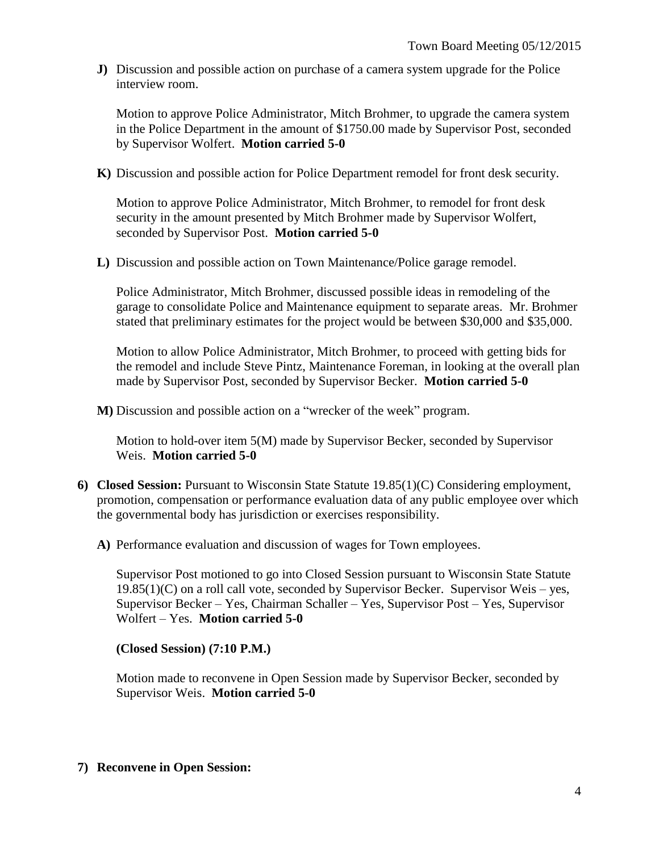**J)** Discussion and possible action on purchase of a camera system upgrade for the Police interview room.

Motion to approve Police Administrator, Mitch Brohmer, to upgrade the camera system in the Police Department in the amount of \$1750.00 made by Supervisor Post, seconded by Supervisor Wolfert. **Motion carried 5-0**

**K)** Discussion and possible action for Police Department remodel for front desk security.

Motion to approve Police Administrator, Mitch Brohmer, to remodel for front desk security in the amount presented by Mitch Brohmer made by Supervisor Wolfert, seconded by Supervisor Post. **Motion carried 5-0**

**L)** Discussion and possible action on Town Maintenance/Police garage remodel.

Police Administrator, Mitch Brohmer, discussed possible ideas in remodeling of the garage to consolidate Police and Maintenance equipment to separate areas. Mr. Brohmer stated that preliminary estimates for the project would be between \$30,000 and \$35,000.

Motion to allow Police Administrator, Mitch Brohmer, to proceed with getting bids for the remodel and include Steve Pintz, Maintenance Foreman, in looking at the overall plan made by Supervisor Post, seconded by Supervisor Becker. **Motion carried 5-0**

**M)** Discussion and possible action on a "wrecker of the week" program.

Motion to hold-over item 5(M) made by Supervisor Becker, seconded by Supervisor Weis. **Motion carried 5-0**

- **6) Closed Session:** Pursuant to Wisconsin State Statute 19.85(1)(C) Considering employment, promotion, compensation or performance evaluation data of any public employee over which the governmental body has jurisdiction or exercises responsibility.
	- **A)** Performance evaluation and discussion of wages for Town employees.

Supervisor Post motioned to go into Closed Session pursuant to Wisconsin State Statute  $19.85(1)(C)$  on a roll call vote, seconded by Supervisor Becker. Supervisor Weis – yes, Supervisor Becker – Yes, Chairman Schaller – Yes, Supervisor Post – Yes, Supervisor Wolfert – Yes. **Motion carried 5-0**

### **(Closed Session) (7:10 P.M.)**

Motion made to reconvene in Open Session made by Supervisor Becker, seconded by Supervisor Weis. **Motion carried 5-0**

### **7) Reconvene in Open Session:**